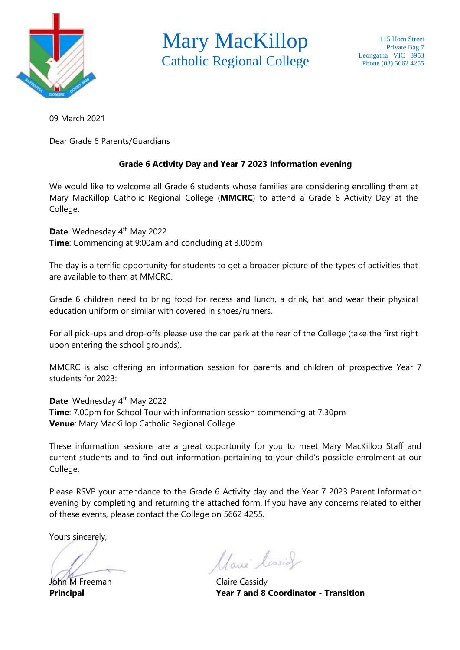

Mary MacKillop Catholic Regional College

09 March 2021

Dear Grade 6 Parents/Guardians

## **Grade 6 Activity Day and Year 7 2023 Information evening**

We would like to welcome all Grade 6 students whose families are considering enrolling them at Mary MacKillop Catholic Regional College (**MMCRC**) to attend a Grade 6 Activity Day at the College.

Date: Wednesday 4<sup>th</sup> May 2022 **Time**: Commencing at 9:00am and concluding at 3.00pm

The day is a terrific opportunity for students to get a broader picture of the types of activities that are available to them at MMCRC.

Grade 6 children need to bring food for recess and lunch, a drink, hat and wear their physical education uniform or similar with covered in shoes/runners.

For all pick-ups and drop-offs please use the car park at the rear of the College (take the first right upon entering the school grounds).

MMCRC is also offering an information session for parents and children of prospective Year 7 students for 2023:

**Date**: Wednesday 4<sup>th</sup> May 2022 **Time**: 7.00pm for School Tour with information session commencing at 7.30pm **Venue**: Mary MacKillop Catholic Regional College

These information sessions are a great opportunity for you to meet Mary MacKillop Staff and current students and to find out information pertaining to your child's possible enrolment at our College.

Please RSVP your attendance to the Grade 6 Activity day and the Year 7 2023 Parent Information evening by completing and returning the attached form. If you have any concerns related to either of these events, please contact the College on 5662 4255.

Yours sincerely,

John M Freeman Claire Cassidy

Marie lessier

**Principal Year 7 and 8 Coordinator - Transition**